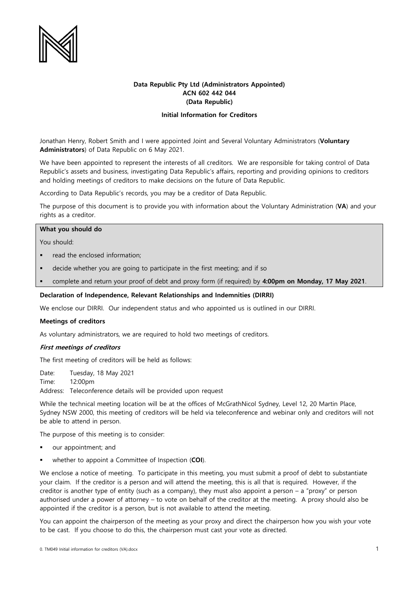

# **Data Republic Pty Ltd (Administrators Appointed) ACN 602 442 044 (Data Republic)**

# **Initial Information for Creditors**

Jonathan Henry, Robert Smith and I were appointed Joint and Several Voluntary Administrators (**Voluntary Administrators**) of Data Republic on 6 May 2021.

We have been appointed to represent the interests of all creditors. We are responsible for taking control of Data Republic's assets and business, investigating Data Republic's affairs, reporting and providing opinions to creditors and holding meetings of creditors to make decisions on the future of Data Republic.

According to Data Republic's records, you may be a creditor of Data Republic.

The purpose of this document is to provide you with information about the Voluntary Administration (**VA**) and your rights as a creditor.

## **What you should do**

You should:

- read the enclosed information;
- decide whether you are going to participate in the first meeting; and if so
- complete and return your proof of debt and proxy form (if required) by **4:00pm on Monday, 17 May 2021**.

### **Declaration of Independence, Relevant Relationships and Indemnities (DIRRI)**

We enclose our DIRRI. Our independent status and who appointed us is outlined in our DIRRI.

#### **Meetings of creditors**

As voluntary administrators, we are required to hold two meetings of creditors.

## **First meetings of creditors**

The first meeting of creditors will be held as follows:

Date: Tuesday, 18 May 2021

Time: 12:00pm Address: Teleconference details will be provided upon request

While the technical meeting location will be at the offices of McGrathNicol Sydney, Level 12, 20 Martin Place, Sydney NSW 2000, this meeting of creditors will be held via teleconference and webinar only and creditors will not be able to attend in person.

The purpose of this meeting is to consider:

- our appointment; and
- whether to appoint a Committee of Inspection (**COI**).

We enclose a notice of meeting. To participate in this meeting, you must submit a proof of debt to substantiate your claim. If the creditor is a person and will attend the meeting, this is all that is required. However, if the creditor is another type of entity (such as a company), they must also appoint a person – a "proxy" or person authorised under a power of attorney – to vote on behalf of the creditor at the meeting. A proxy should also be appointed if the creditor is a person, but is not available to attend the meeting.

You can appoint the chairperson of the meeting as your proxy and direct the chairperson how you wish your vote to be cast. If you choose to do this, the chairperson must cast your vote as directed.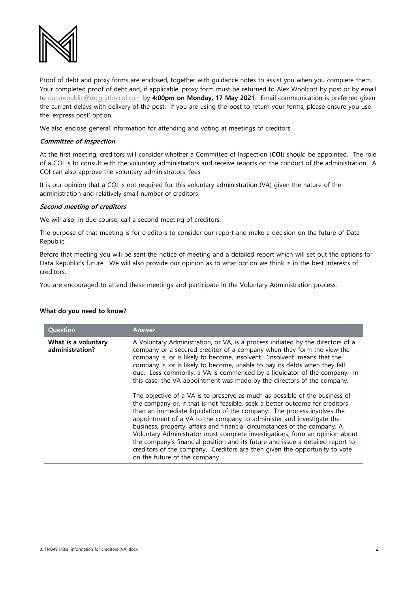

Proof of debt and proxy forms are enclosed, together with guidance notes to assist you when you complete them. Your completed proof of debt and, if applicable, proxy form must be returned to Alex Woolcott by post or by email to [datarepublic@mcgrathnicol.com](mailto:datarepublic@mcgrathnicol.com) by **4:00pm on Monday, 17 May 2021**. Email communication is preferred given the current delays with delivery of the post. If you are using the post to return your forms, please ensure you use the 'express post' option.

We also enclose general information for attending and voting at meetings of creditors.

## **Committee of Inspection**

At the first meeting, creditors will consider whether a Committee of Inspection (**COI**) should be appointed. The role of a COI is to consult with the voluntary administrators and receive reports on the conduct of the administration. A COI can also approve the voluntary administrators' fees.

It is our opinion that a COI is not required for this voluntary administration (VA) given the nature of the administration and relatively small number of creditors.

### **Second meeting of creditors**

We will also, in due course, call a second meeting of creditors.

The purpose of that meeting is for creditors to consider our report and make a decision on the future of Data Republic.

Before that meeting you will be sent the notice of meeting and a detailed report which will set out the options for Data Republic's future. We will also provide our opinion as to what option we think is in the best interests of creditors.

You are encouraged to attend these meetings and participate in the Voluntary Administration process.

#### **What do you need to know?**

| <b>Question</b>                        | <b>Answer</b>                                                                                                                                                                                                                                                                                                                                                                                                                                                                                                                                                                                                                                                                                                                                                                                |
|----------------------------------------|----------------------------------------------------------------------------------------------------------------------------------------------------------------------------------------------------------------------------------------------------------------------------------------------------------------------------------------------------------------------------------------------------------------------------------------------------------------------------------------------------------------------------------------------------------------------------------------------------------------------------------------------------------------------------------------------------------------------------------------------------------------------------------------------|
| What is a voluntary<br>administration? | A Voluntary Administration, or VA, is a process initiated by the directors of a<br>company or a secured creditor of a company when they form the view the<br>company is, or is likely to become, insolvent. 'Insolvent' means that the<br>company is, or is likely to become, unable to pay its debts when they fall<br>due. Less commonly, a VA is commenced by a liquidator of the company. In<br>this case, the VA appointment was made by the directors of the company.<br>The objective of a VA is to preserve as much as possible of the business of<br>the company or, if that is not feasible, seek a better outcome for creditors<br>than an immediate liquidation of the company. The process involves the<br>appointment of a VA to the company to administer and investigate the |
|                                        | business, property, affairs and financial circumstances of the company. A<br>Voluntary Administrator must complete investigations, form an opinion about<br>the company's financial position and its future and issue a detailed report to<br>creditors of the company. Creditors are then given the opportunity to vote<br>on the future of the company.                                                                                                                                                                                                                                                                                                                                                                                                                                    |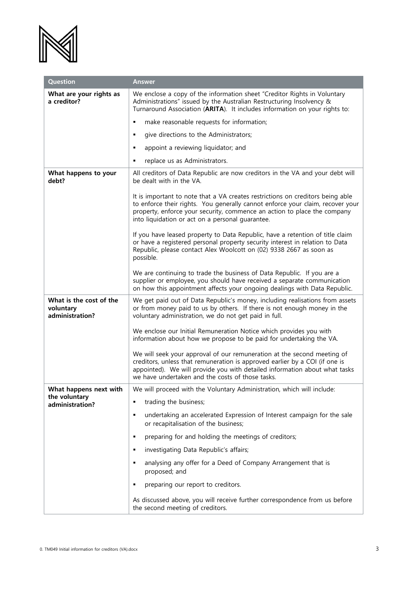

| <b>Question</b>                                         | <b>Answer</b>                                                                                                                                                                                                                                                                                    |
|---------------------------------------------------------|--------------------------------------------------------------------------------------------------------------------------------------------------------------------------------------------------------------------------------------------------------------------------------------------------|
| What are your rights as<br>a creditor?                  | We enclose a copy of the information sheet "Creditor Rights in Voluntary<br>Administrations" issued by the Australian Restructuring Insolvency &<br>Turnaround Association (ARITA). It includes information on your rights to:                                                                   |
|                                                         | make reasonable requests for information;<br>٠                                                                                                                                                                                                                                                   |
|                                                         | give directions to the Administrators;<br>٠                                                                                                                                                                                                                                                      |
|                                                         | appoint a reviewing liquidator; and<br>٠                                                                                                                                                                                                                                                         |
|                                                         | replace us as Administrators.<br>٠                                                                                                                                                                                                                                                               |
| What happens to your<br>debt?                           | All creditors of Data Republic are now creditors in the VA and your debt will<br>be dealt with in the VA.                                                                                                                                                                                        |
|                                                         | It is important to note that a VA creates restrictions on creditors being able<br>to enforce their rights. You generally cannot enforce your claim, recover your<br>property, enforce your security, commence an action to place the company<br>into liquidation or act on a personal guarantee. |
|                                                         | If you have leased property to Data Republic, have a retention of title claim<br>or have a registered personal property security interest in relation to Data<br>Republic, please contact Alex Woolcott on (02) 9338 2667 as soon as<br>possible.                                                |
|                                                         | We are continuing to trade the business of Data Republic. If you are a<br>supplier or employee, you should have received a separate communication<br>on how this appointment affects your ongoing dealings with Data Republic.                                                                   |
| What is the cost of the<br>voluntary<br>administration? | We get paid out of Data Republic's money, including realisations from assets<br>or from money paid to us by others. If there is not enough money in the<br>voluntary administration, we do not get paid in full.                                                                                 |
|                                                         | We enclose our Initial Remuneration Notice which provides you with<br>information about how we propose to be paid for undertaking the VA.                                                                                                                                                        |
|                                                         | We will seek your approval of our remuneration at the second meeting of<br>creditors, unless that remuneration is approved earlier by a COI (if one is<br>appointed). We will provide you with detailed information about what tasks<br>we have undertaken and the costs of those tasks.         |
| What happens next with                                  | We will proceed with the Voluntary Administration, which will include:                                                                                                                                                                                                                           |
| the voluntary<br>administration?                        | trading the business;<br>٠                                                                                                                                                                                                                                                                       |
|                                                         | undertaking an accelerated Expression of Interest campaign for the sale<br>٠<br>or recapitalisation of the business;                                                                                                                                                                             |
|                                                         | preparing for and holding the meetings of creditors;<br>٠                                                                                                                                                                                                                                        |
|                                                         | investigating Data Republic's affairs;<br>٠                                                                                                                                                                                                                                                      |
|                                                         | analysing any offer for a Deed of Company Arrangement that is<br>٠<br>proposed; and                                                                                                                                                                                                              |
|                                                         | preparing our report to creditors.<br>٠                                                                                                                                                                                                                                                          |
|                                                         | As discussed above, you will receive further correspondence from us before<br>the second meeting of creditors.                                                                                                                                                                                   |